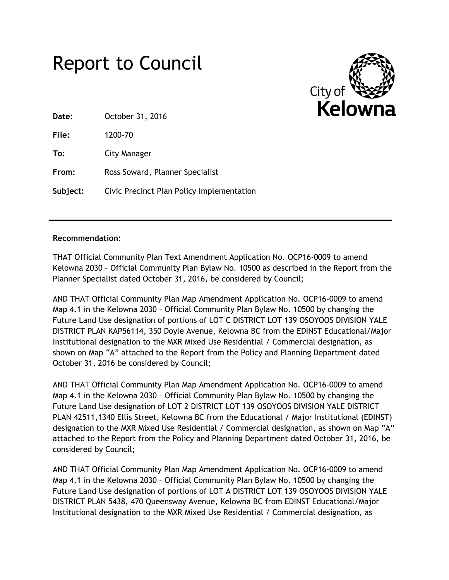# Report to Council



**Date:** October 31, 2016

**File:** 1200-70

**To:** City Manager

**From:** Ross Soward, Planner Specialist

**Subject:** Civic Precinct Plan Policy Implementation

# **Recommendation:**

THAT Official Community Plan Text Amendment Application No. OCP16-0009 to amend Kelowna 2030 – Official Community Plan Bylaw No. 10500 as described in the Report from the Planner Specialist dated October 31, 2016, be considered by Council;

AND THAT Official Community Plan Map Amendment Application No. OCP16-0009 to amend Map 4.1 in the Kelowna 2030 – Official Community Plan Bylaw No. 10500 by changing the Future Land Use designation of portions of LOT C DISTRICT LOT 139 OSOYOOS DIVISION YALE DISTRICT PLAN KAP56114, 350 Doyle Avenue, Kelowna BC from the EDINST Educational/Major Institutional designation to the MXR Mixed Use Residential / Commercial designation, as shown on Map "A" attached to the Report from the Policy and Planning Department dated October 31, 2016 be considered by Council;

AND THAT Official Community Plan Map Amendment Application No. OCP16-0009 to amend Map 4.1 in the Kelowna 2030 – Official Community Plan Bylaw No. 10500 by changing the Future Land Use designation of LOT 2 DISTRICT LOT 139 OSOYOOS DIVISION YALE DISTRICT PLAN 42511,1340 Ellis Street, Kelowna BC from the Educational / Major Institutional (EDINST) designation to the MXR Mixed Use Residential / Commercial designation, as shown on Map "A" attached to the Report from the Policy and Planning Department dated October 31, 2016, be considered by Council;

AND THAT Official Community Plan Map Amendment Application No. OCP16-0009 to amend Map 4.1 in the Kelowna 2030 – Official Community Plan Bylaw No. 10500 by changing the Future Land Use designation of portions of LOT A DISTRICT LOT 139 OSOYOOS DIVISION YALE DISTRICT PLAN 5438, 470 Queensway Avenue, Kelowna BC from EDINST Educational/Major Institutional designation to the MXR Mixed Use Residential / Commercial designation, as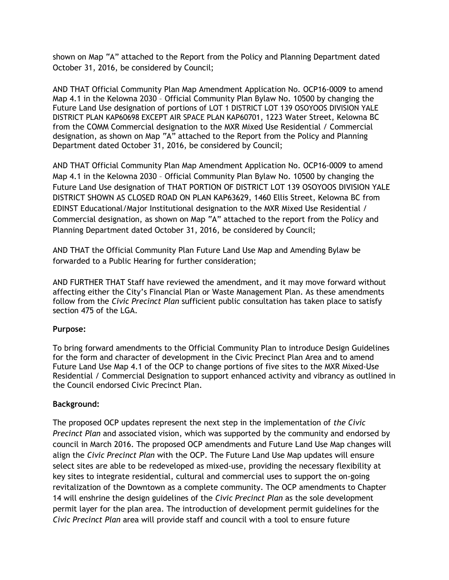shown on Map "A" attached to the Report from the Policy and Planning Department dated October 31, 2016, be considered by Council;

AND THAT Official Community Plan Map Amendment Application No. OCP16-0009 to amend Map 4.1 in the Kelowna 2030 – Official Community Plan Bylaw No. 10500 by changing the Future Land Use designation of portions of LOT 1 DISTRICT LOT 139 OSOYOOS DIVISION YALE DISTRICT PLAN KAP60698 EXCEPT AIR SPACE PLAN KAP60701, 1223 Water Street, Kelowna BC from the COMM Commercial designation to the MXR Mixed Use Residential / Commercial designation, as shown on Map "A" attached to the Report from the Policy and Planning Department dated October 31, 2016, be considered by Council;

AND THAT Official Community Plan Map Amendment Application No. OCP16-0009 to amend Map 4.1 in the Kelowna 2030 – Official Community Plan Bylaw No. 10500 by changing the Future Land Use designation of THAT PORTION OF DISTRICT LOT 139 OSOYOOS DIVISION YALE DISTRICT SHOWN AS CLOSED ROAD ON PLAN KAP63629, 1460 Ellis Street, Kelowna BC from EDINST Educational/Major Institutional designation to the MXR Mixed Use Residential / Commercial designation, as shown on Map "A" attached to the report from the Policy and Planning Department dated October 31, 2016, be considered by Council;

AND THAT the Official Community Plan Future Land Use Map and Amending Bylaw be forwarded to a Public Hearing for further consideration;

AND FURTHER THAT Staff have reviewed the amendment, and it may move forward without affecting either the City's Financial Plan or Waste Management Plan. As these amendments follow from the *Civic Precinct Plan* sufficient public consultation has taken place to satisfy section 475 of the LGA.

## **Purpose:**

To bring forward amendments to the Official Community Plan to introduce Design Guidelines for the form and character of development in the Civic Precinct Plan Area and to amend Future Land Use Map 4.1 of the OCP to change portions of five sites to the MXR Mixed-Use Residential / Commercial Designation to support enhanced activity and vibrancy as outlined in the Council endorsed Civic Precinct Plan.

## **Background:**

The proposed OCP updates represent the next step in the implementation of *the Civic Precinct Plan* and associated vision, which was supported by the community and endorsed by council in March 2016. The proposed OCP amendments and Future Land Use Map changes will align the *Civic Precinct Plan* with the OCP. The Future Land Use Map updates will ensure select sites are able to be redeveloped as mixed-use, providing the necessary flexibility at key sites to integrate residential, cultural and commercial uses to support the on-going revitalization of the Downtown as a complete community. The OCP amendments to Chapter 14 will enshrine the design guidelines of the *Civic Precinct Plan* as the sole development permit layer for the plan area. The introduction of development permit guidelines for the *Civic Precinct Plan* area will provide staff and council with a tool to ensure future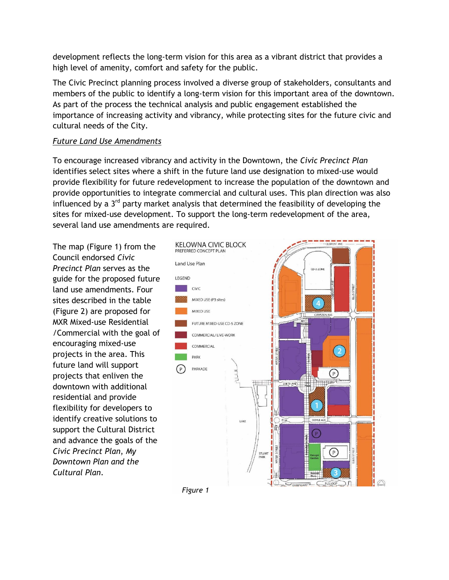development reflects the long-term vision for this area as a vibrant district that provides a high level of amenity, comfort and safety for the public.

The Civic Precinct planning process involved a diverse group of stakeholders, consultants and members of the public to identify a long-term vision for this important area of the downtown. As part of the process the technical analysis and public engagement established the importance of increasing activity and vibrancy, while protecting sites for the future civic and cultural needs of the City.

# *Future Land Use Amendments*

To encourage increased vibrancy and activity in the Downtown, the *Civic Precinct Plan* identifies select sites where a shift in the future land use designation to mixed-use would provide flexibility for future redevelopment to increase the population of the downtown and provide opportunities to integrate commercial and cultural uses. This plan direction was also influenced by a 3<sup>rd</sup> party market analysis that determined the feasibility of developing the sites for mixed-use development. To support the long-term redevelopment of the area, several land use amendments are required.

The map (Figure 1) from the Council endorsed *Civic Precinct Plan* serves as the guide for the proposed future land use amendments. Four sites described in the table (Figure 2) are proposed for MXR Mixed-use Residential /Commercial with the goal of encouraging mixed-use projects in the area. This future land will support projects that enliven the downtown with additional residential and provide flexibility for developers to identify creative solutions to support the Cultural District and advance the goals of the *Civic Precinct Plan*, *My Downtown Plan and the Cultural Plan*.



*Figure 1*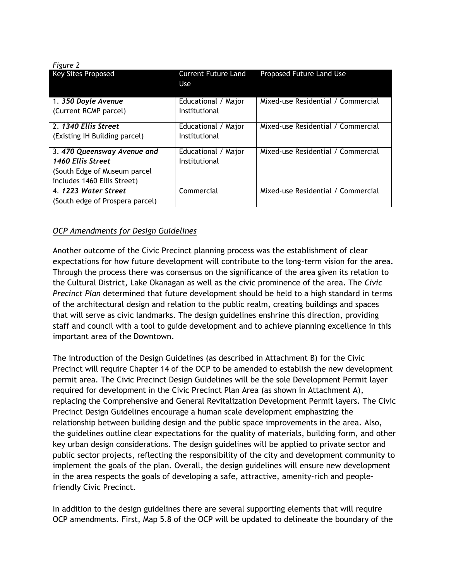| Figure 2                        |                            |                                    |
|---------------------------------|----------------------------|------------------------------------|
| <b>Key Sites Proposed</b>       | <b>Current Future Land</b> | Proposed Future Land Use           |
|                                 | Use                        |                                    |
|                                 |                            |                                    |
| 1. 350 Doyle Avenue             | Educational / Major        | Mixed-use Residential / Commercial |
| (Current RCMP parcel)           | Institutional              |                                    |
|                                 |                            |                                    |
| 2. 1340 Ellis Street            | Educational / Major        | Mixed-use Residential / Commercial |
| (Existing IH Building parcel)   | Institutional              |                                    |
|                                 |                            |                                    |
| 3.470 Queensway Avenue and      | Educational / Major        | Mixed-use Residential / Commercial |
| 1460 Ellis Street               | Institutional              |                                    |
| (South Edge of Museum parcel    |                            |                                    |
| includes 1460 Ellis Street)     |                            |                                    |
| 4. 1223 Water Street            | Commercial                 | Mixed-use Residential / Commercial |
| (South edge of Prospera parcel) |                            |                                    |

# *OCP Amendments for Design Guidelines*

Another outcome of the Civic Precinct planning process was the establishment of clear expectations for how future development will contribute to the long-term vision for the area. Through the process there was consensus on the significance of the area given its relation to the Cultural District, Lake Okanagan as well as the civic prominence of the area. The *Civic Precinct Plan* determined that future development should be held to a high standard in terms of the architectural design and relation to the public realm, creating buildings and spaces that will serve as civic landmarks. The design guidelines enshrine this direction, providing staff and council with a tool to guide development and to achieve planning excellence in this important area of the Downtown.

The introduction of the Design Guidelines (as described in Attachment B) for the Civic Precinct will require Chapter 14 of the OCP to be amended to establish the new development permit area. The Civic Precinct Design Guidelines will be the sole Development Permit layer required for development in the Civic Precinct Plan Area (as shown in Attachment A), replacing the Comprehensive and General Revitalization Development Permit layers. The Civic Precinct Design Guidelines encourage a human scale development emphasizing the relationship between building design and the public space improvements in the area. Also, the guidelines outline clear expectations for the quality of materials, building form, and other key urban design considerations. The design guidelines will be applied to private sector and public sector projects, reflecting the responsibility of the city and development community to implement the goals of the plan. Overall, the design guidelines will ensure new development in the area respects the goals of developing a safe, attractive, amenity-rich and peoplefriendly Civic Precinct.

In addition to the design guidelines there are several supporting elements that will require OCP amendments. First, Map 5.8 of the OCP will be updated to delineate the boundary of the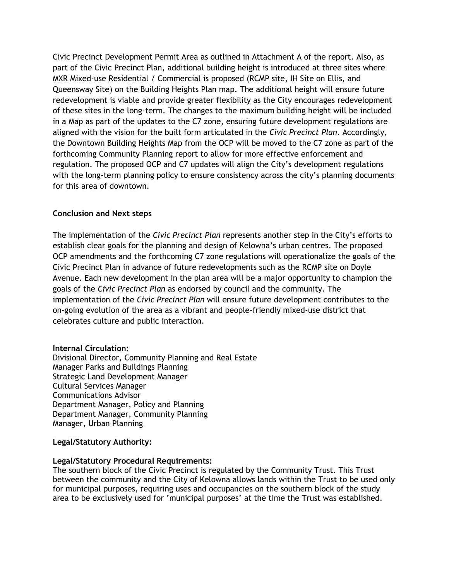Civic Precinct Development Permit Area as outlined in Attachment A of the report. Also, as part of the Civic Precinct Plan, additional building height is introduced at three sites where MXR Mixed-use Residential / Commercial is proposed (RCMP site, IH Site on Ellis, and Queensway Site) on the Building Heights Plan map. The additional height will ensure future redevelopment is viable and provide greater flexibility as the City encourages redevelopment of these sites in the long-term. The changes to the maximum building height will be included in a Map as part of the updates to the C7 zone, ensuring future development regulations are aligned with the vision for the built form articulated in the *Civic Precinct Plan*. Accordingly, the Downtown Building Heights Map from the OCP will be moved to the C7 zone as part of the forthcoming Community Planning report to allow for more effective enforcement and regulation. The proposed OCP and C7 updates will align the City's development regulations with the long-term planning policy to ensure consistency across the city's planning documents for this area of downtown.

# **Conclusion and Next steps**

The implementation of the *Civic Precinct Plan* represents another step in the City's efforts to establish clear goals for the planning and design of Kelowna's urban centres. The proposed OCP amendments and the forthcoming C7 zone regulations will operationalize the goals of the Civic Precinct Plan in advance of future redevelopments such as the RCMP site on Doyle Avenue. Each new development in the plan area will be a major opportunity to champion the goals of the *Civic Precinct Plan* as endorsed by council and the community. The implementation of the *Civic Precinct Plan* will ensure future development contributes to the on-going evolution of the area as a vibrant and people-friendly mixed-use district that celebrates culture and public interaction.

## **Internal Circulation:**

Divisional Director, Community Planning and Real Estate Manager Parks and Buildings Planning Strategic Land Development Manager Cultural Services Manager Communications Advisor Department Manager, Policy and Planning Department Manager, Community Planning Manager, Urban Planning

## **Legal/Statutory Authority:**

## **Legal/Statutory Procedural Requirements:**

The southern block of the Civic Precinct is regulated by the Community Trust. This Trust between the community and the City of Kelowna allows lands within the Trust to be used only for municipal purposes, requiring uses and occupancies on the southern block of the study area to be exclusively used for 'municipal purposes' at the time the Trust was established.